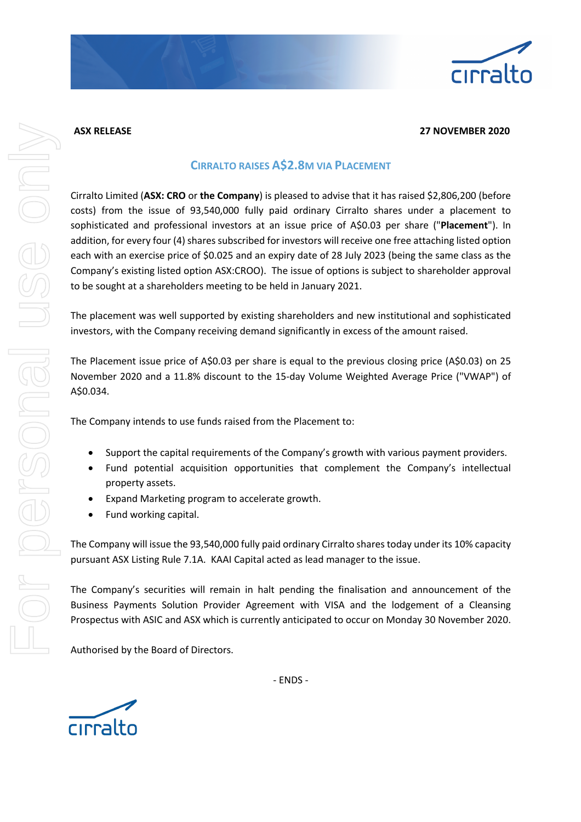

## **ASX RELEASE 27 NOVEMBER 2020**

## **CIRRALTO RAISES A\$2.8M VIA PLACEMENT**

Cirralto Limited (**ASX: CRO** or **the Company**) is pleased to advise that it has raised \$2,806,200 (before costs) from the issue of 93,540,000 fully paid ordinary Cirralto shares under a placement to sophisticated and professional investors at an issue price of A\$0.03 per share ("**Placement**"). In addition, for every four (4) shares subscribed for investors will receive one free attaching listed option each with an exercise price of \$0.025 and an expiry date of 28 July 2023 (being the same class as the Company's existing listed option ASX:CROO). The issue of options is subject to shareholder approval to be sought at a shareholders meeting to be held in January 2021.

The placement was well supported by existing shareholders and new institutional and sophisticated investors, with the Company receiving demand significantly in excess of the amount raised.

The Placement issue price of A\$0.03 per share is equal to the previous closing price (A\$0.03) on 25 November 2020 and a 11.8% discount to the 15-day Volume Weighted Average Price ("VWAP") of A\$0.034.

The Company intends to use funds raised from the Placement to:

- Support the capital requirements of the Company's growth with various payment providers.
- Fund potential acquisition opportunities that complement the Company's intellectual property assets.
- Expand Marketing program to accelerate growth.
- Fund working capital.

The Company will issue the 93,540,000 fully paid ordinary Cirralto shares today under its 10% capacity pursuant ASX Listing Rule 7.1A. KAAI Capital acted as lead manager to the issue.

The Company's securities will remain in halt pending the finalisation and announcement of the Business Payments Solution Provider Agreement with VISA and the lodgement of a Cleansing Prospectus with ASIC and ASX which is currently anticipated to occur on Monday 30 November 2020.

Authorised by the Board of Directors.



- ENDS -